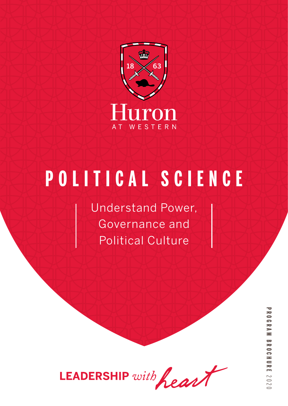

# **POLITICAL SCIENCE**

Understand Power, Governance and Political Culture

LEADERSHIP with heart

**PROGRAM BROCHUREPROGRAM BROCHURE 2020**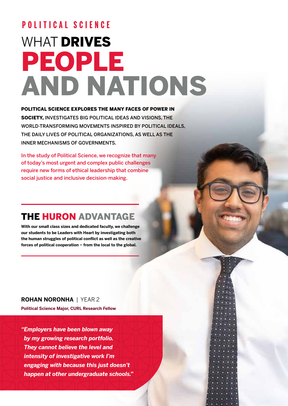## WHAT **DRIVES** PEOPLE AND NATIONS **POLITICAL SCIENCE**

#### POLITICAL SCIENCE EXPLORES THE MANY FACES OF POWER IN

SOCIETY, INVESTIGATES BIG POLITICAL IDEAS AND VISIONS, THE WORLD-TRANSFORMING MOVEMENTS INSPIRED BY POLITICAL IDEALS, THE DAILY LIVES OF POLITICAL ORGANIZATIONS, AS WELL AS THE INNER MECHANISMS OF GOVERNMENTS.

In the study of Political Science, we recognize that many of today's most urgent and complex public challenges require new forms of ethical leadership that combine social justice and inclusive decision-making.

## THE HURON ADVANTAGE

**With our small class sizes and dedicated faculty, we challenge our students to be Leaders with Heart by investigating both the human struggles of political conflict as well as the creative forces of political cooperation − from the local to the global.**

**ROHAN NORONHA** | YEAR 2 **Political Science Major, CURL Research Fellow** 

*"Employers have been blown away by my growing research portfolio. They cannot believe the level and intensity of investigative work I'm engaging with because this just doesn't happen at other undergraduate schools."* 

6 п Π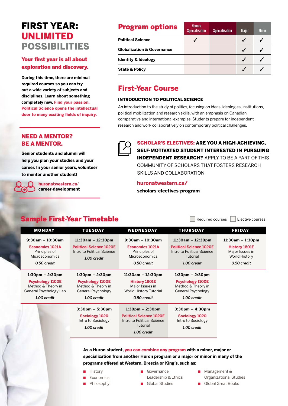## FIRST YEAR: UNLIMITED POSSIBILITIES

#### Your first year is all about exploration and discovery.

**During this time, there are minimal required courses so you can try out a wide variety of subjects and disciplines. Learn about something completely new. Find your passion. Political Science opens the intellectual door to many exciting fields of inquiry.**

#### NEED A MENTOR? BE A MENTOR.

**Senior students and alumni will help you plan your studies and your career. In your senior years, volunteer to mentor another student!** 

> **huronatwestern.ca**/ **career-development**

### **Program options** Specialization Specialization Major Minor **Political Science ◯** ◯ ◯ ◯ ◯ **Globalization & Governance** ✓ ✓ **Identity & Ideology <u>***∡* **∠** *√* ∠</u> **State & Policy** ✓ ✓

### First-Year Course

#### INTRODUCTION TO POLITICAL SCIENCE

An introduction to the study of politics, focusing on ideas, ideologies, institutions, political mobilization and research skills, with an emphasis on Canadian, comparative and international examples. Students prepare for independent research and work collaboratively on contemporary political challenges.



SCHOLAR'S ELECTIVES: ARE YOU A HIGH-ACHIEVING, SELF-MOTIVATED STUDENT INTERESTED IN PURSUING INDEPENDENT RESEARCH? APPLY TO BE A PART OF THIS COMMUNITY OF SCHOLARS THAT FOSTERS RESEARCH SKILLS AND COLLABORATION.

#### **huronatwestern.ca/**

**scholars-electives-program**

### Sample First-Year Timetable **Sample First-Year Timetable**

| <b>MONDAY</b>                                                                                                               | <b>TUESDAY</b>                                                                                           | <b>WEDNESDAY</b>                                                                                                             | <b>THURSDAY</b>                                                                                                         | <b>FRIDAY</b>                                                                                 |
|-----------------------------------------------------------------------------------------------------------------------------|----------------------------------------------------------------------------------------------------------|------------------------------------------------------------------------------------------------------------------------------|-------------------------------------------------------------------------------------------------------------------------|-----------------------------------------------------------------------------------------------|
| $9:30am - 10:30am$<br><b>Economics 1021A</b><br>Principles of<br><b>Microeconomics</b><br>0.50 credit                       | $11:30am - 12:30pm$<br><b>Political Science 1020E</b><br>Intro to Political Science<br>1.00 credit       | $9:30$ am - 10:30am<br><b>Economics 1021A</b><br>Principles of<br><b>Microeconomics</b><br>0.50 credit                       | $11:30am - 12:30pm$<br><b>Political Science 1020E</b><br>Intro to Political Science<br>Tutorial<br>1.00 credit          | $11:30am - 1:30pm$<br><b>History 1801E</b><br>Major Issues in<br>World History<br>0.50 credit |
| $1:30 \text{pm} - 2:30 \text{pm}$<br><b>Psychology 1100E</b><br>Method & Theory in<br>General Psychology Lab<br>1.00 credit | $1:30$ pm – 2:30pm<br><b>Psychology 1100E</b><br>Method & Theory in<br>General Psychology<br>1.00 credit | $11:30am - 12:30pm$<br><b>History 1801E</b><br>Major Issues in<br>World History Tutorial<br>0.50 credit                      | $1:30 \text{pm} - 2:30 \text{pm}$<br><b>Psychology 1100E</b><br>Method & Theory in<br>General Psychology<br>1.00 credit |                                                                                               |
|                                                                                                                             | $3:30 \text{pm} - 5:30 \text{pm}$<br>Sociology 1020<br>Intro to Sociology<br>1.00 credit                 | $1:30 \text{pm} - 2:30 \text{pm}$<br><b>Political Science 1020E</b><br>Intro to Political Science<br>Tutorial<br>1.00 credit | $3:30 \text{pm} - 4:30 \text{pm}$<br>Sociology 1020<br>Intro to Sociology<br>1.00 credit                                |                                                                                               |

#### **As a Huron student, you can combine any program with a minor, major or specialization from another Huron program or a major or minor in many of the programs offered at Western, Brescia or King's, such as:**

- History
- **Economics**
- Philosophy
- Governance, Leadership & Ethics
- Global Studies
- Management &
- Organizational Studies
- Global Great Books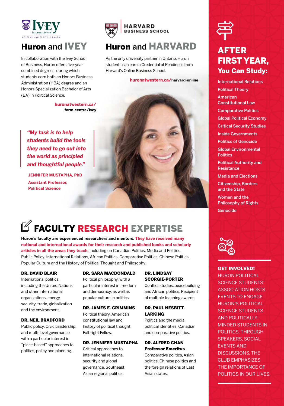

## Huron and IVEY

In collaboration with the Ivey School of Business, Huron offers five-year combined degrees, during which students earn both an Honors Business Administration (HBA) degree and an Honors Specialization Bachelor of Arts (BA) in Political Science.

> **huronatwestern.ca/ form-centre/ivey**

*"My task is to help students build the tools they need to go out into the world as principled and thoughtful people."*

**JENNIFER MUSTAPHA, PhD Assistant Professor, Political Science**



## Huron and HARVARD

As the only university partner in Ontario, Huron students can earn a Credential of Readiness from Harvard's Online Business School.

#### **huronatwestern.ca/harvard-online**



## $\mathbb G$  FACULTY RESEARCH EXPERTISE

**Huron's faculty are experienced researchers and mentors. They have received many national and international awards for their research and published books and scholarly articles in all the areas they teach,** including on Canadian Politics, Media and Politics, Public Policy, International Relations, African Politics, Comparative Politics, Chinese Politics, Popular Culture and the History of Political Thought and Philosophy**.**

#### DR. DAVID BLAIR

International politics, including the United Nations and other international organizations, energy security, trade, globalization and the environment.

#### DR. NEIL BRADFORD

Public policy, Civic Leadership, and multi-level governance with a particular interest in "place-based" approaches to politics, policy and planning.

#### DR. SARA MACDONDALD

Political philosophy, with a particular interest in freedom and democracy, as well as popular culture in politics.

#### DR. JAMES E. CRIMMINS

Political theory, American constitutional law and history of political thought. Fulbright Fellow.

#### DR. JENNIFER MUSTAPHA

Critical approaches to international relations, security and global governance, Southeast Asian regional politics.

#### DR. LINDSAY SCORGIE-PORTER

Conflict studies, peacebuilding and African politics. Recipient of multiple teaching awards.

#### DR. PAUL NESBITT-LARKING

Politics and the media, political identities, Canadian and comparative politics.

#### DR. ALFRED CHAN Professor Emeritus

Comparative politics, Asian politics, Chinese politics and the foreign relations of East Asian states.



## AFTER FIRST YEAR, You Can Study:

International Relations Political Theory American Constitutional Law Comparative Politics Global Political Economy Critical Security Studies Inside Governments Politics of Genocide Global Environmental **Politics** 

Political Authority and **Resistance** 

Media and Elections Citizenship, Borders

and the State

Women and the Philosophy of Rights Genocide



#### **GET INVOLVED!**

HURON POLITICAL SCIENCE STUDENTS' ASSOCIATION HOSTS EVENTS TO ENGAGE HURON'S POLITICAL SCIENCE STUDENTS AND POLITICALLY-MINDED STUDENTS IN POLITICS. THROUGH SPEAKERS, SOCIAL EVENTS AND DISCUSSIONS, THE CLUB EMPHASIZES THE IMPORTANCE OF POLITICS IN OUR LIVES.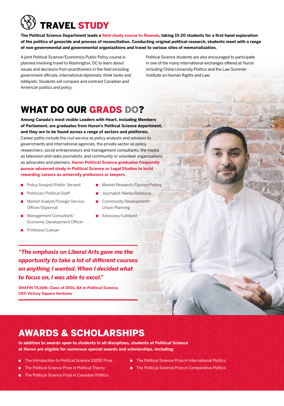## TRAVEL STUDY

**The Political Science Department leads a field-study course to Rwanda, taking 15-20 students for a first-hand exploration of the politics of genocide and process of reconciliation. Conducting original political research, students meet with a range of non-governmental and governmental organizations and travel to various sites of memorialization.** 

A joint Political Science/Economics Public Policy course is planned involving travel to Washington, DC to learn about issues and decisions from practitioners in the field including government officials, international diplomats, think tanks and lobbyists. Students will compare and contrast Canadian and American politics and policy.

Political Science students are also encouraged to participate in one of the many international exchanges offered at Huron including China University Politics and the Law Summer Institute on Human Rights and Law.

## WHAT DO OUR GRADS DO?

**Among Canada's most visible Leaders with Heart, including Members of Parliament, are graduates from Huron's Political Science department, and they are to be found across a range of sectors and platforms.**  Career paths include the civil service as policy analysts and advisors to governments and international agencies, the private sector as policy researchers, social entrepreneurs and management consultants, the media as television and radio journalists, and community or volunteer organizations as advocates and planners. **Huron Political Science graduates frequently pursue advanced study in Political Science or Legal Studies to build rewarding careers as university professors or lawyers.** 

- Policy Analyst/Public Servant
- Politician/Political Staff
- Market Analyst/Foreign Service Officer/Diplomat
- Management Consultant/ Economic Development Officer
- Professor/Lawyer
- Market Research/Opinion Polling
	- Journalist/Media Relations
- Community Development/ Urban Planning
- Advocacy/Lobbyist

*"The emphasis on Liberal Arts gave me the opportunity to take a lot of different courses on anything I wanted. When I decided what to focus on, I was able to excel."*

**SHAFIN TEJANI, Class of 2001, BA in Political Science, CEO Victory Square Ventures** 

## AWARDS & SCHOLARSHIPS

**In addition to awards open to students in all disciplines, students of Political Science at Huron are eligible for numerous special awards and scholarships, including:** 

- The Introduction to Political Science 1020E Prize
- The Political Science Prize in Political Theory
- The Political Science Prize in International Politics
- The Political Science Prize in Comparative Politics
- The Political Science Prize in Canadian Politics